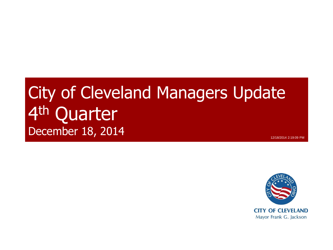### City of Cleveland Managers Update 4<sup>th</sup> Quarter **December 18, 2014** 12/18/2014 2:19:09 PM

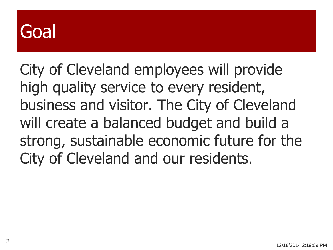## Goal

City of Cleveland employees will provide high quality service to every resident, business and visitor. The City of Cleveland will create a balanced budget and build a strong, sustainable economic future for the City of Cleveland and our residents.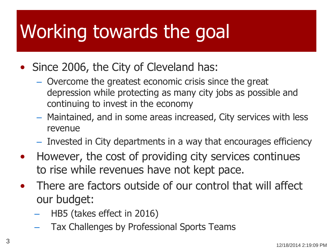## Working towards the goal

- Since 2006, the City of Cleveland has:
	- Overcome the greatest economic crisis since the great depression while protecting as many city jobs as possible and continuing to invest in the economy
	- Maintained, and in some areas increased, City services with less revenue
	- Invested in City departments in a way that encourages efficiency
- However, the cost of providing city services continues to rise while revenues have not kept pace.
- There are factors outside of our control that will affect our budget:
	- HB5 (takes effect in 2016)
	- Tax Challenges by Professional Sports Teams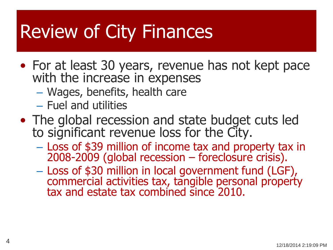## Review of City Finances

- For at least 30 years, revenue has not kept pace with the increase in expenses
	- Wages, benefits, health care
	- Fuel and utilities
- The global recession and state budget cuts led to significant revenue loss for the City.
	- Loss of \$39 million of income tax and property tax in 2008-2009 (global recession – foreclosure crisis).
	- Loss of \$30 million in local government fund (LGF), commercial activities tax, tangible personal property tax and estate tax combined since 2010.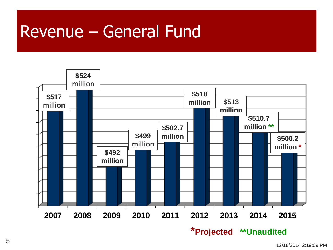#### Revenue – General Fund

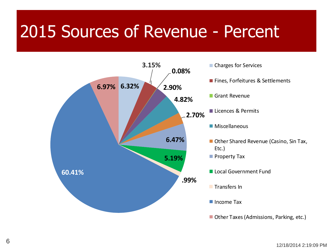### 2015 Sources of Revenue - Percent

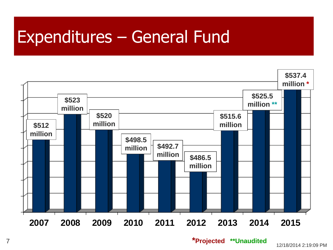### Expenditures – General Fund



**\*Projected \*\*Unaudited**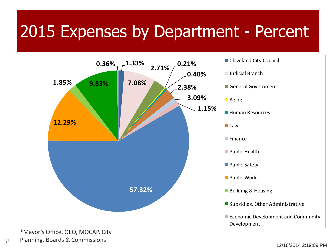### 2015 Expenses by Department - Percent



Planning, Boards & Commissions

8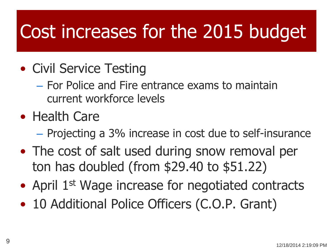## Cost increases for the 2015 budget

- Civil Service Testing
	- For Police and Fire entrance exams to maintain current workforce levels
- Health Care
	- Projecting a 3% increase in cost due to self-insurance
- The cost of salt used during snow removal per ton has doubled (from \$29.40 to \$51.22)
- April 1<sup>st</sup> Wage increase for negotiated contracts
- 10 Additional Police Officers (C.O.P. Grant)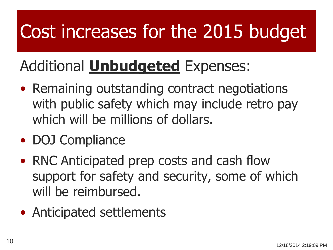# Cost increases for the 2015 budget

### Additional **Unbudgeted** Expenses:

- Remaining outstanding contract negotiations with public safety which may include retro pay which will be millions of dollars.
- DOJ Compliance
- RNC Anticipated prep costs and cash flow support for safety and security, some of which will be reimbursed.
- Anticipated settlements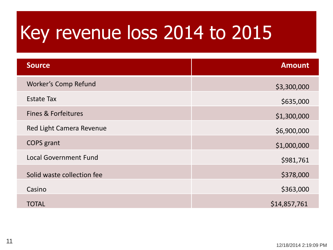# Key revenue loss 2014 to 2015

| <b>Source</b>                | <b>Amount</b> |
|------------------------------|---------------|
| <b>Worker's Comp Refund</b>  | \$3,300,000   |
| <b>Estate Tax</b>            | \$635,000     |
| Fines & Forfeitures          | \$1,300,000   |
| Red Light Camera Revenue     | \$6,900,000   |
| <b>COPS</b> grant            | \$1,000,000   |
| <b>Local Government Fund</b> | \$981,761     |
| Solid waste collection fee   | \$378,000     |
| Casino                       | \$363,000     |
| <b>TOTAL</b>                 | \$14,857,761  |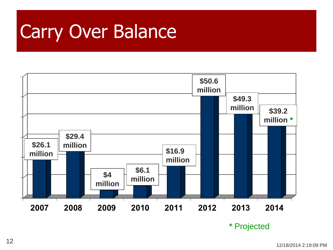## Carry Over Balance

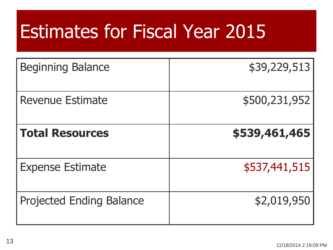## Estimates for Fiscal Year 2015

| <b>Beginning Balance</b>        | \$39,229,513  |
|---------------------------------|---------------|
| <b>Revenue Estimate</b>         | \$500,231,952 |
| <b>Total Resources</b>          | \$539,461,465 |
| <b>Expense Estimate</b>         | \$537,441,515 |
| <b>Projected Ending Balance</b> | \$2,019,950   |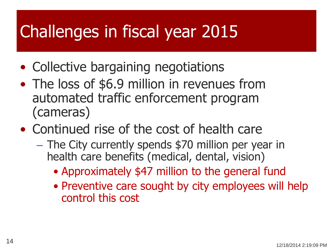### Challenges in fiscal year 2015

- Collective bargaining negotiations
- The loss of \$6.9 million in revenues from automated traffic enforcement program (cameras)
- Continued rise of the cost of health care
	- The City currently spends \$70 million per year in health care benefits (medical, dental, vision)
		- Approximately \$47 million to the general fund
		- Preventive care sought by city employees will help control this cost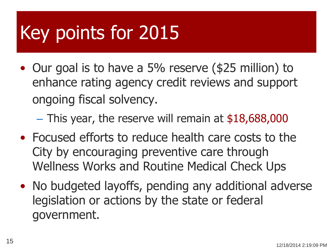# Key points for 2015

• Our goal is to have a 5% reserve (\$25 million) to enhance rating agency credit reviews and support ongoing fiscal solvency.

 $-$  This year, the reserve will remain at \$18,688,000

- Focused efforts to reduce health care costs to the City by encouraging preventive care through Wellness Works and Routine Medical Check Ups
- No budgeted layoffs, pending any additional adverse legislation or actions by the state or federal government.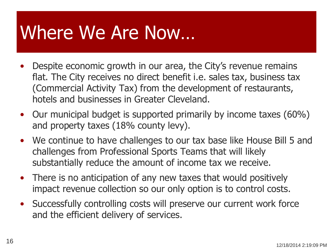## Where We Are Now…

- Despite economic growth in our area, the City's revenue remains flat. The City receives no direct benefit i.e. sales tax, business tax (Commercial Activity Tax) from the development of restaurants, hotels and businesses in Greater Cleveland.
- Our municipal budget is supported primarily by income taxes (60%) and property taxes (18% county levy).
- We continue to have challenges to our tax base like House Bill 5 and challenges from Professional Sports Teams that will likely substantially reduce the amount of income tax we receive.
- There is no anticipation of any new taxes that would positively impact revenue collection so our only option is to control costs.
- Successfully controlling costs will preserve our current work force and the efficient delivery of services.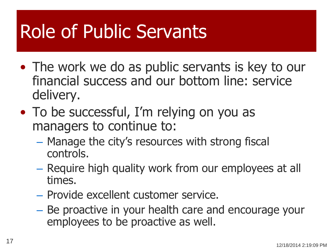## Role of Public Servants

- The work we do as public servants is key to our financial success and our bottom line: service delivery.
- To be successful, I'm relying on you as managers to continue to:
	- Manage the city's resources with strong fiscal controls.
	- Require high quality work from our employees at all times.
	- Provide excellent customer service.
	- Be proactive in your health care and encourage your employees to be proactive as well.